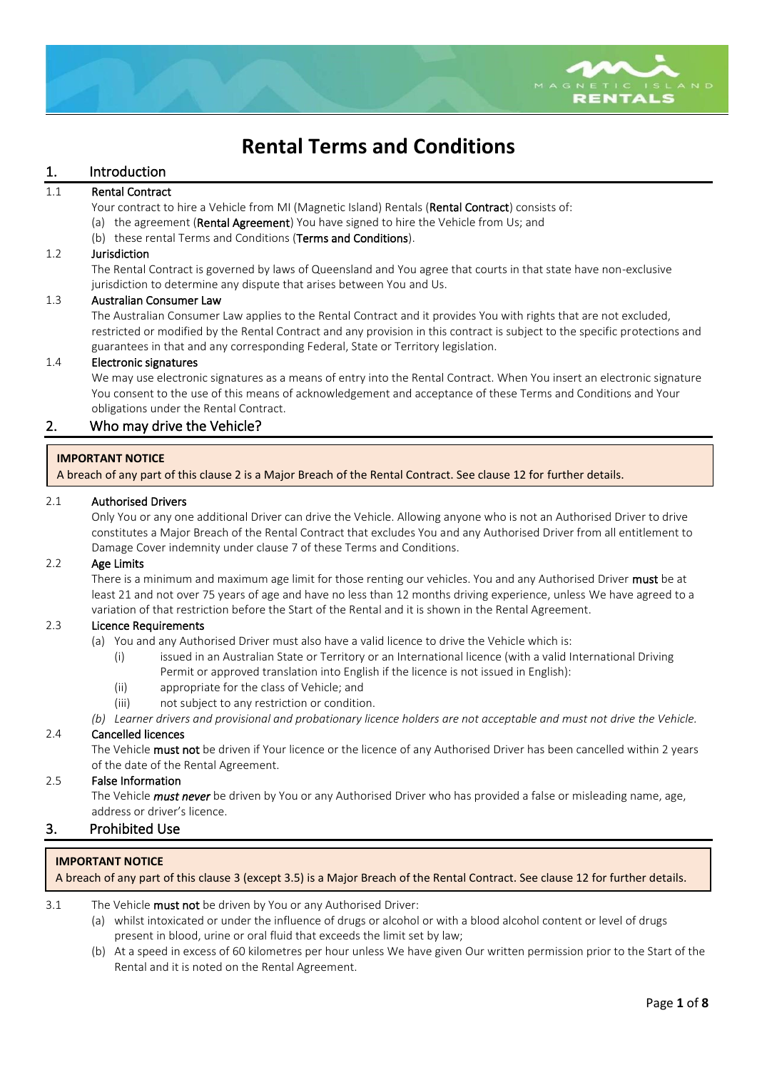

# **Rental Terms and Conditions**

# 1. Introduction

# 1.1 Rental Contract

Your contract to hire a Vehicle from MI (Magnetic Island) Rentals (Rental Contract) consists of:

- (a) the agreement (**Rental Agreement**) You have signed to hire the Vehicle from Us; and
- (b) these rental Terms and Conditions (Terms and Conditions).

#### 1.2 Jurisdiction

The Rental Contract is governed by laws of Queensland and You agree that courts in that state have non-exclusive jurisdiction to determine any dispute that arises between You and Us.

#### 1.3 Australian Consumer Law

The Australian Consumer Law applies to the Rental Contract and it provides You with rights that are not excluded, restricted or modified by the Rental Contract and any provision in this contract is subject to the specific protections and guarantees in that and any corresponding Federal, State or Territory legislation.

#### 1.4 Electronic signatures

We may use electronic signatures as a means of entry into the Rental Contract. When You insert an electronic signature You consent to the use of this means of acknowledgement and acceptance of these Terms and Conditions and Your obligations under the Rental Contract.

# 2. Who may drive the Vehicle?

#### **IMPORTANT NOTICE**

A breach of any part of this clause 2 is a Major Breach of the Rental Contract. See clause 12 for further details.

#### 2.1 Authorised Drivers

Only You or any one additional Driver can drive the Vehicle. Allowing anyone who is not an Authorised Driver to drive constitutes a Major Breach of the Rental Contract that excludes You and any Authorised Driver from all entitlement to Damage Cover indemnity under clause 7 of these Terms and Conditions.

#### 2.2 Age Limits

There is a minimum and maximum age limit for those renting our vehicles. You and any Authorised Driver must be at least 21 and not over 75 years of age and have no less than 12 months driving experience, unless We have agreed to a variation of that restriction before the Start of the Rental and it is shown in the Rental Agreement.

#### 2.3 Licence Requirements

- (a) You and any Authorised Driver must also have a valid licence to drive the Vehicle which is:
	- (i) issued in an Australian State or Territory or an International licence (with a valid International Driving Permit or approved translation into English if the licence is not issued in English):
	- (ii) appropriate for the class of Vehicle; and
	- (iii) not subject to any restriction or condition.

*(b) Learner drivers and provisional and probationary licence holders are not acceptable and must not drive the Vehicle.*

#### 2.4 Cancelled licences

The Vehicle must not be driven if Your licence or the licence of any Authorised Driver has been cancelled within 2 years of the date of the Rental Agreement.

#### 2.5 False Information

The Vehicle *must never* be driven by You or any Authorised Driver who has provided a false or misleading name, age, address or driver's licence.

# 3. Prohibited Use

## **IMPORTANT NOTICE**

A breach of any part of this clause 3 (except 3.5) is a Major Breach of the Rental Contract. See clause 12 for further details.

- 3.1 The Vehicle must not be driven by You or any Authorised Driver:
	- (a) whilst intoxicated or under the influence of drugs or alcohol or with a blood alcohol content or level of drugs present in blood, urine or oral fluid that exceeds the limit set by law;
	- (b) At a speed in excess of 60 kilometres per hour unless We have given Our written permission prior to the Start of the Rental and it is noted on the Rental Agreement.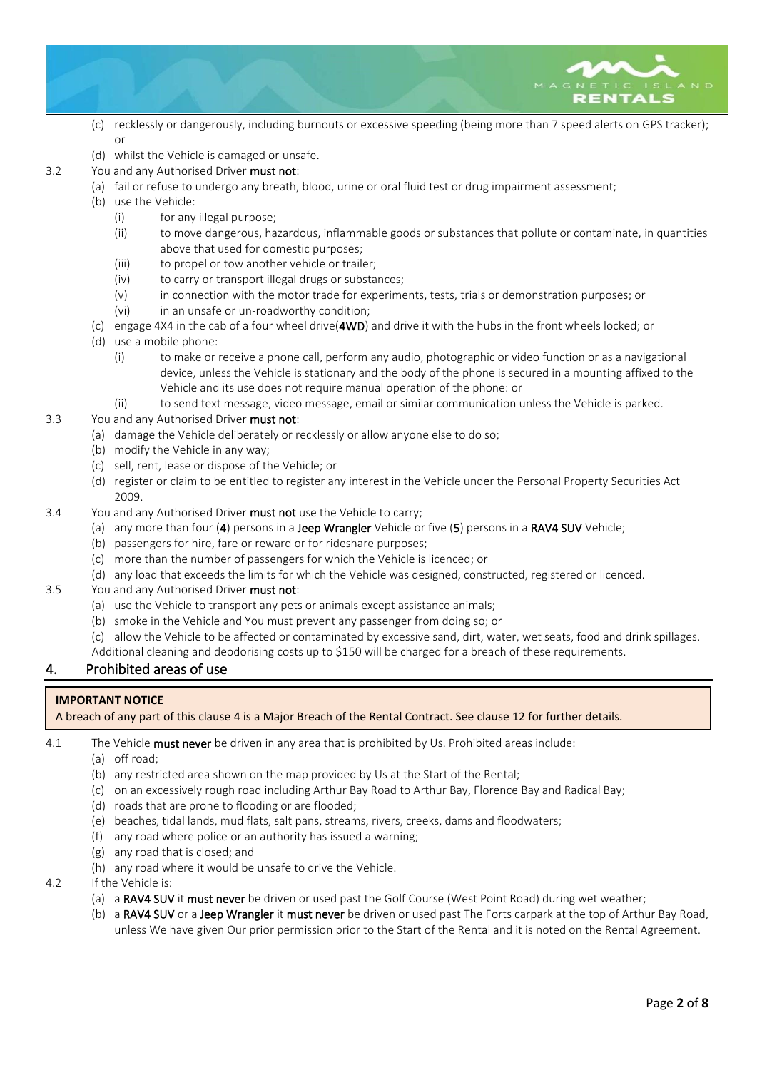

- (c) recklessly or dangerously, including burnouts or excessive speeding (being more than 7 speed alerts on GPS tracker); or
- (d) whilst the Vehicle is damaged or unsafe.
- 3.2 You and any Authorised Driver must not:
	- (a) fail or refuse to undergo any breath, blood, urine or oral fluid test or drug impairment assessment;
	- (b) use the Vehicle:
		- (i) for any illegal purpose;
		- (ii) to move dangerous, hazardous, inflammable goods or substances that pollute or contaminate, in quantities above that used for domestic purposes;
		- (iii) to propel or tow another vehicle or trailer:
		- (iv) to carry or transport illegal drugs or substances;
		- (v) in connection with the motor trade for experiments, tests, trials or demonstration purposes; or
		- (vi) in an unsafe or un-roadworthy condition;
	- (c) engage 4X4 in the cab of a four wheel drive(4WD) and drive it with the hubs in the front wheels locked; or
	- (d) use a mobile phone:
		- (i) to make or receive a phone call, perform any audio, photographic or video function or as a navigational device, unless the Vehicle is stationary and the body of the phone is secured in a mounting affixed to the Vehicle and its use does not require manual operation of the phone: or
		- (ii) to send text message, video message, email or similar communication unless the Vehicle is parked.
- 3.3 You and any Authorised Driver must not:
	- (a) damage the Vehicle deliberately or recklessly or allow anyone else to do so;
	- (b) modify the Vehicle in any way;
	- (c) sell, rent, lease or dispose of the Vehicle; or
	- (d) register or claim to be entitled to register any interest in the Vehicle under the Personal Property Securities Act 2009.
- 3.4 You and any Authorised Driver must not use the Vehicle to carry;
	- (a) any more than four (4) persons in a Jeep Wrangler Vehicle or five (5) persons in a RAV4 SUV Vehicle;
	- (b) passengers for hire, fare or reward or for rideshare purposes;
	- (c) more than the number of passengers for which the Vehicle is licenced; or
	- (d) any load that exceeds the limits for which the Vehicle was designed, constructed, registered or licenced.
- 3.5 You and any Authorised Driver must not:
	- (a) use the Vehicle to transport any pets or animals except assistance animals;
	- (b) smoke in the Vehicle and You must prevent any passenger from doing so; or
	- (c) allow the Vehicle to be affected or contaminated by excessive sand, dirt, water, wet seats, food and drink spillages.
	- Additional cleaning and deodorising costs up to \$150 will be charged for a breach of these requirements.

# 4. Prohibited areas of use

## **IMPORTANT NOTICE**

A breach of any part of this clause 4 is a Major Breach of the Rental Contract. See clause 12 for further details.

4.1 The Vehicle must never be driven in any area that is prohibited by Us. Prohibited areas include:

- (a) off road;
- (b) any restricted area shown on the map provided by Us at the Start of the Rental;
- (c) on an excessively rough road including Arthur Bay Road to Arthur Bay, Florence Bay and Radical Bay;
- (d) roads that are prone to flooding or are flooded;
- (e) beaches, tidal lands, mud flats, salt pans, streams, rivers, creeks, dams and floodwaters;
- (f) any road where police or an authority has issued a warning;
- (g) any road that is closed; and
- (h) any road where it would be unsafe to drive the Vehicle.
- 4.2 If the Vehicle is:
	- (a) a RAV4 SUV it must never be driven or used past the Golf Course (West Point Road) during wet weather;
	- (b) a RAV4 SUV or a Jeep Wrangler it must never be driven or used past The Forts carpark at the top of Arthur Bay Road, unless We have given Our prior permission prior to the Start of the Rental and it is noted on the Rental Agreement.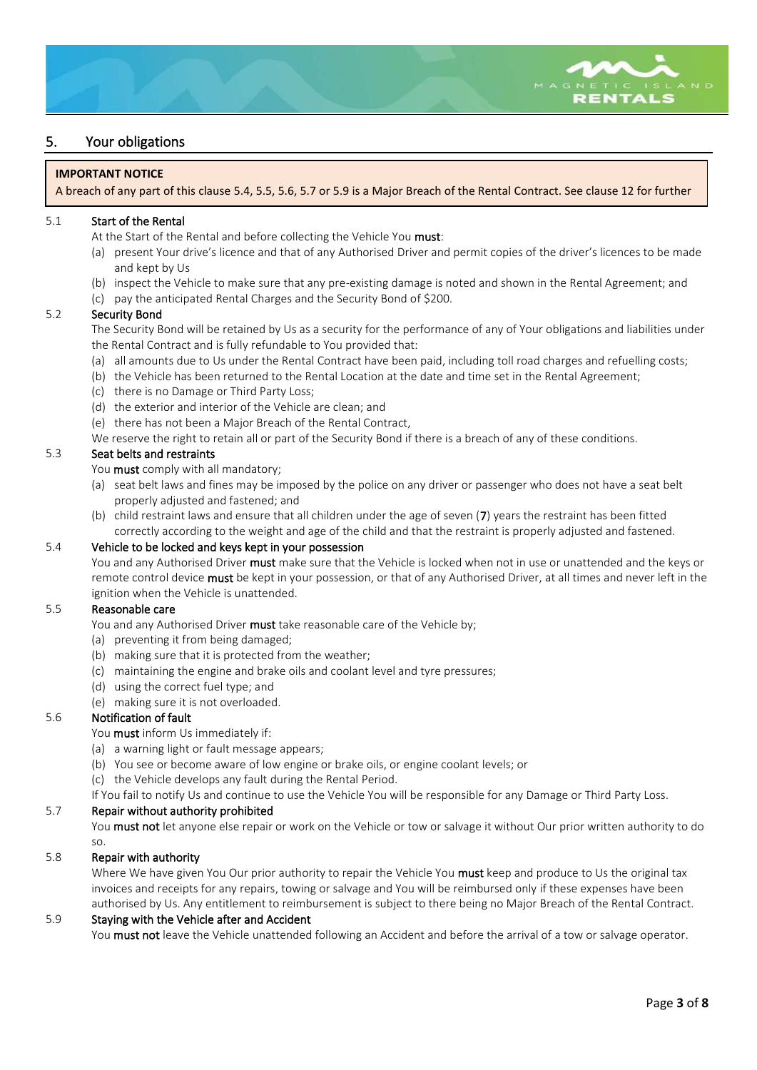

# 5. Your obligations

## **IMPORTANT NOTICE**

A breach of any part of this clause 5.4, 5.5, 5.6, 5.7 or 5.9 is a Major Breach of the Rental Contract. See clause 12 for further

#### 5.1 Start of the Rental details.

At the Start of the Rental and before collecting the Vehicle You must:

- (a) present Your drive's licence and that of any Authorised Driver and permit copies of the driver's licences to be made and kept by Us
- (b) inspect the Vehicle to make sure that any pre-existing damage is noted and shown in the Rental Agreement; and
- (c) pay the anticipated Rental Charges and the Security Bond of \$200.

## 5.2 Security Bond

The Security Bond will be retained by Us as a security for the performance of any of Your obligations and liabilities under the Rental Contract and is fully refundable to You provided that:

- (a) all amounts due to Us under the Rental Contract have been paid, including toll road charges and refuelling costs;
- (b) the Vehicle has been returned to the Rental Location at the date and time set in the Rental Agreement;
- (c) there is no Damage or Third Party Loss;
- (d) the exterior and interior of the Vehicle are clean; and
- (e) there has not been a Major Breach of the Rental Contract,

We reserve the right to retain all or part of the Security Bond if there is a breach of any of these conditions.

#### 5.3 Seat belts and restraints

You **must** comply with all mandatory;

- (a) seat belt laws and fines may be imposed by the police on any driver or passenger who does not have a seat belt properly adjusted and fastened; and
- (b) child restraint laws and ensure that all children under the age of seven (7) years the restraint has been fitted correctly according to the weight and age of the child and that the restraint is properly adjusted and fastened.

## 5.4 Vehicle to be locked and keys kept in your possession

You and any Authorised Driver must make sure that the Vehicle is locked when not in use or unattended and the keys or remote control device must be kept in your possession, or that of any Authorised Driver, at all times and never left in the ignition when the Vehicle is unattended.

#### 5.5 Reasonable care

- You and any Authorised Driver must take reasonable care of the Vehicle by;
- (a) preventing it from being damaged;
- (b) making sure that it is protected from the weather;
- (c) maintaining the engine and brake oils and coolant level and tyre pressures;
- (d) using the correct fuel type; and
- (e) making sure it is not overloaded.

## 5.6 Notification of fault

- You **must** inform Us immediately if:
- (a) a warning light or fault message appears;
- (b) You see or become aware of low engine or brake oils, or engine coolant levels; or
- (c) the Vehicle develops any fault during the Rental Period.
- If You fail to notify Us and continue to use the Vehicle You will be responsible for any Damage or Third Party Loss.

## 5.7 Repair without authority prohibited

You must not let anyone else repair or work on the Vehicle or tow or salvage it without Our prior written authority to do so.

## 5.8 Repair with authority

Where We have given You Our prior authority to repair the Vehicle You must keep and produce to Us the original tax invoices and receipts for any repairs, towing or salvage and You will be reimbursed only if these expenses have been authorised by Us. Any entitlement to reimbursement is subject to there being no Major Breach of the Rental Contract.

## 5.9 Staying with the Vehicle after and Accident

You must not leave the Vehicle unattended following an Accident and before the arrival of a tow or salvage operator.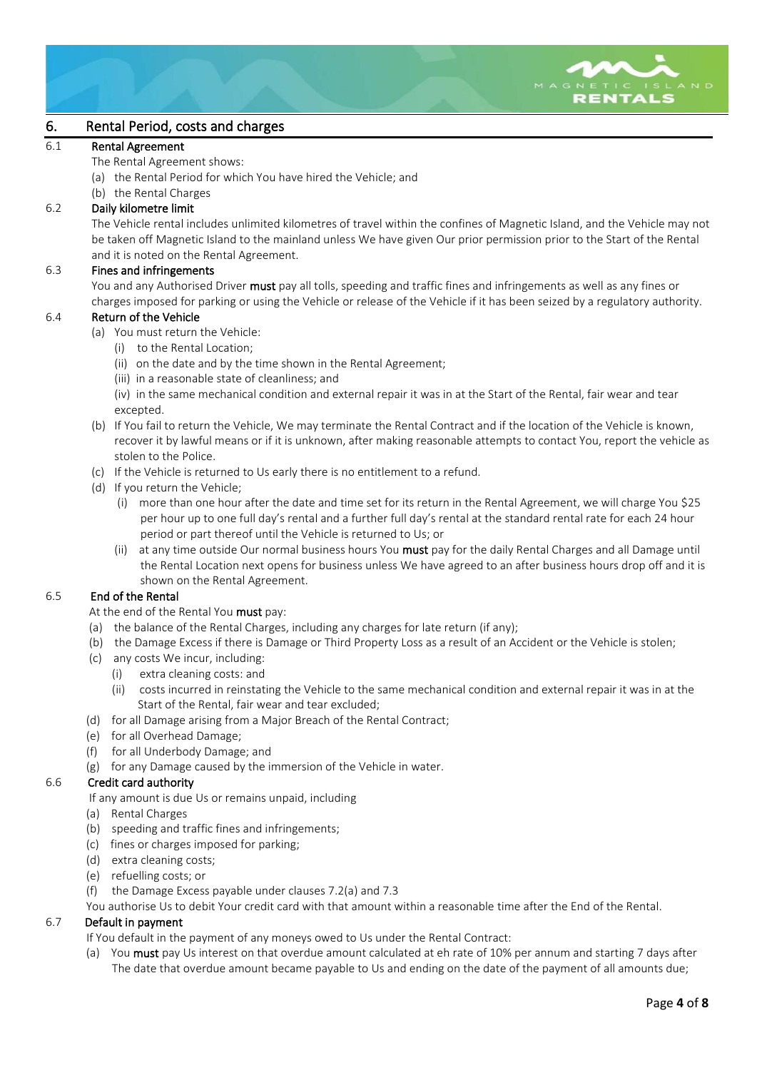

# 6. Rental Period, costs and charges

## 6.1 Rental Agreement

The Rental Agreement shows:

- (a) the Rental Period for which You have hired the Vehicle; and
- (b) the Rental Charges

# 6.2 Daily kilometre limit

The Vehicle rental includes unlimited kilometres of travel within the confines of Magnetic Island, and the Vehicle may not be taken off Magnetic Island to the mainland unless We have given Our prior permission prior to the Start of the Rental and it is noted on the Rental Agreement.

## 6.3 Fines and infringements

You and any Authorised Driver must pay all tolls, speeding and traffic fines and infringements as well as any fines or charges imposed for parking or using the Vehicle or release of the Vehicle if it has been seized by a regulatory authority.

## 6.4 Return of the Vehicle

- (a) You must return the Vehicle:
	- (i) to the Rental Location;
	- (ii) on the date and by the time shown in the Rental Agreement;
	- (iii) in a reasonable state of cleanliness; and
	- (iv) in the same mechanical condition and external repair it was in at the Start of the Rental, fair wear and tear excepted.
- (b) If You fail to return the Vehicle, We may terminate the Rental Contract and if the location of the Vehicle is known, recover it by lawful means or if it is unknown, after making reasonable attempts to contact You, report the vehicle as stolen to the Police.
- (c) If the Vehicle is returned to Us early there is no entitlement to a refund.
- (d) If you return the Vehicle;
	- (i) more than one hour after the date and time set for its return in the Rental Agreement, we will charge You \$25 per hour up to one full day's rental and a further full day's rental at the standard rental rate for each 24 hour period or part thereof until the Vehicle is returned to Us; or
	- (ii) at any time outside Our normal business hours You must pay for the daily Rental Charges and all Damage until the Rental Location next opens for business unless We have agreed to an after business hours drop off and it is shown on the Rental Agreement.

# 6.5 End of the Rental

At the end of the Rental You must pay:

- (a) the balance of the Rental Charges, including any charges for late return (if any);
- (b) the Damage Excess if there is Damage or Third Property Loss as a result of an Accident or the Vehicle is stolen;
- (c) any costs We incur, including:
	- (i) extra cleaning costs: and
	- (ii) costs incurred in reinstating the Vehicle to the same mechanical condition and external repair it was in at the Start of the Rental, fair wear and tear excluded;
- (d) for all Damage arising from a Major Breach of the Rental Contract;
- (e) for all Overhead Damage;
- (f) for all Underbody Damage; and
- (g) for any Damage caused by the immersion of the Vehicle in water.

## 6.6 Credit card authority

- If any amount is due Us or remains unpaid, including
- (a) Rental Charges
- (b) speeding and traffic fines and infringements;
- (c) fines or charges imposed for parking;
- (d) extra cleaning costs;
- (e) refuelling costs; or
- (f) the Damage Excess payable under clauses 7.2(a) and 7.3

You authorise Us to debit Your credit card with that amount within a reasonable time after the End of the Rental.

# 6.7 Default in payment

If You default in the payment of any moneys owed to Us under the Rental Contract:

(a) You must pay Us interest on that overdue amount calculated at eh rate of 10% per annum and starting 7 days after The date that overdue amount became payable to Us and ending on the date of the payment of all amounts due;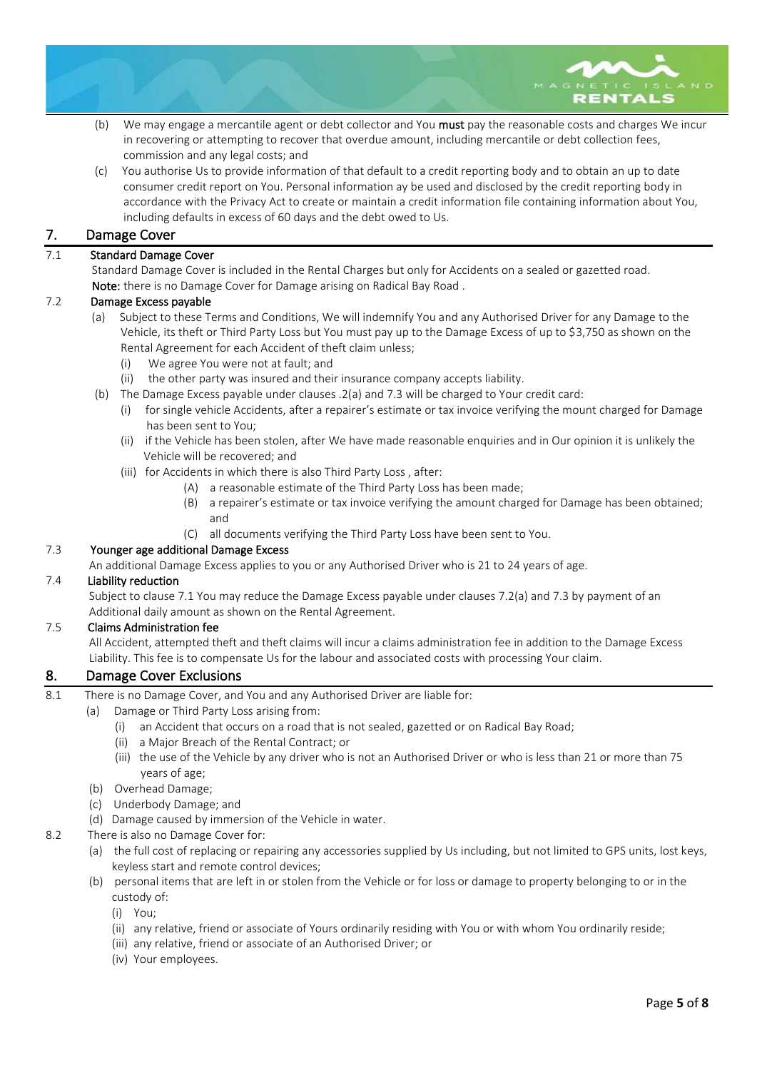

- (b) We may engage a mercantile agent or debt collector and You must pay the reasonable costs and charges We incur in recovering or attempting to recover that overdue amount, including mercantile or debt collection fees, commission and any legal costs; and
- (c) You authorise Us to provide information of that default to a credit reporting body and to obtain an up to date consumer credit report on You. Personal information ay be used and disclosed by the credit reporting body in accordance with the Privacy Act to create or maintain a credit information file containing information about You, including defaults in excess of 60 days and the debt owed to Us.

# 7. Damage Cover

## 7.1 Standard Damage Cover

 Standard Damage Cover is included in the Rental Charges but only for Accidents on a sealed or gazetted road. Note: there is no Damage Cover for Damage arising on Radical Bay Road .

## 7.2 Damage Excess payable

- (a) Subject to these Terms and Conditions, We will indemnify You and any Authorised Driver for any Damage to the Vehicle, its theft or Third Party Loss but You must pay up to the Damage Excess of up to \$3,750 as shown on the Rental Agreement for each Accident of theft claim unless;
	- (i) We agree You were not at fault; and
	- (ii) the other party was insured and their insurance company accepts liability.
- (b) The Damage Excess payable under clauses .2(a) and 7.3 will be charged to Your credit card:
	- (i) for single vehicle Accidents, after a repairer's estimate or tax invoice verifying the mount charged for Damage has been sent to You;
	- (ii) if the Vehicle has been stolen, after We have made reasonable enquiries and in Our opinion it is unlikely the Vehicle will be recovered; and
	- (iii) for Accidents in which there is also Third Party Loss , after:
		- (A) a reasonable estimate of the Third Party Loss has been made;
- (B) a repairer's estimate or tax invoice verifying the amount charged for Damage has been obtained; and the control of the control of the control of the control of the control of the control of the control of t
	- (C) all documents verifying the Third Party Loss have been sent to You.

## 7.3 Younger age additional Damage Excess

An additional Damage Excess applies to you or any Authorised Driver who is 21 to 24 years of age.

## 7.4 Liability reduction

 Subject to clause 7.1 You may reduce the Damage Excess payable under clauses 7.2(a) and 7.3 by payment of an Additional daily amount as shown on the Rental Agreement.

## 7.5 Claims Administration fee

 All Accident, attempted theft and theft claims will incur a claims administration fee in addition to the Damage Excess Liability. This fee is to compensate Us for the labour and associated costs with processing Your claim.

# 8. Damage Cover Exclusions

- 8.1 There is no Damage Cover, and You and any Authorised Driver are liable for:
	- (a) Damage or Third Party Loss arising from:
		- (i) an Accident that occurs on a road that is not sealed, gazetted or on Radical Bay Road;
		- (ii) a Major Breach of the Rental Contract; or
		- (iii) the use of the Vehicle by any driver who is not an Authorised Driver or who is less than 21 or more than 75 years of age;
	- (b) Overhead Damage;
	- (c) Underbody Damage; and
	- (d) Damage caused by immersion of the Vehicle in water.
- 8.2 There is also no Damage Cover for:
	- (a) the full cost of replacing or repairing any accessories supplied by Us including, but not limited to GPS units, lost keys, keyless start and remote control devices;
	- (b) personal items that are left in or stolen from the Vehicle or for loss or damage to property belonging to or in the custody of:
		- (i) You;
		- (ii) any relative, friend or associate of Yours ordinarily residing with You or with whom You ordinarily reside;
		- (iii) any relative, friend or associate of an Authorised Driver; or
		- (iv) Your employees.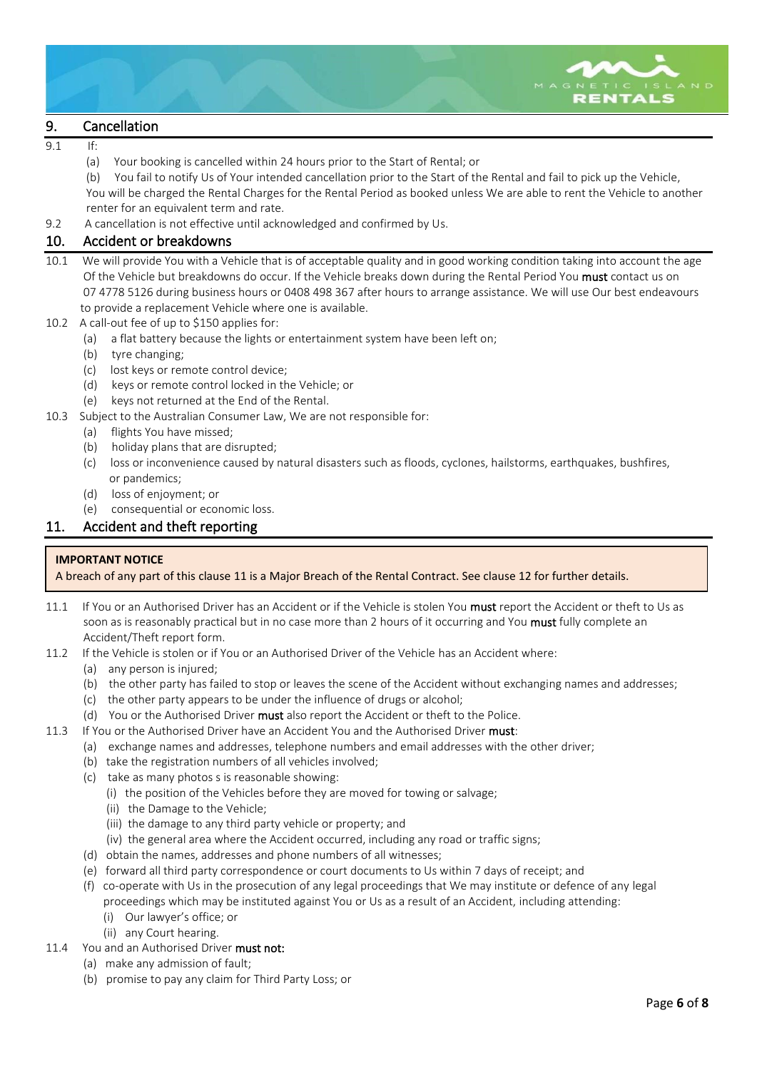

# 9. Cancellation

## 9.1 If:

- (a) Your booking is cancelled within 24 hours prior to the Start of Rental; or
- (b) You fail to notify Us of Your intended cancellation prior to the Start of the Rental and fail to pick up the Vehicle, You will be charged the Rental Charges for the Rental Period as booked unless We are able to rent the Vehicle to another
- renter for an equivalent term and rate.
- 9.2 A cancellation is not effective until acknowledged and confirmed by Us.

## 10. Accident or breakdowns

- 10.1 We will provide You with a Vehicle that is of acceptable quality and in good working condition taking into account the age Of the Vehicle but breakdowns do occur. If the Vehicle breaks down during the Rental Period You **must** contact us on 07 4778 5126 during business hours or 0408 498 367 after hours to arrange assistance. We will use Our best endeavours to provide a replacement Vehicle where one is available.
- 10.2 A call-out fee of up to \$150 applies for:
	- (a) a flat battery because the lights or entertainment system have been left on;
	- (b) tyre changing;
	- (c) lost keys or remote control device;
	- (d) keys or remote control locked in the Vehicle; or
	- (e) keys not returned at the End of the Rental.
- 10.3 Subject to the Australian Consumer Law, We are not responsible for:
	- (a) flights You have missed;
	- (b) holiday plans that are disrupted;
	- (c) loss or inconvenience caused by natural disasters such as floods, cyclones, hailstorms, earthquakes, bushfires, or pandemics;
	- (d) loss of enjoyment; or
	- (e) consequential or economic loss.

## 11. Accident and theft reporting

## **IMPORTANT NOTICE**

## A breach of any part of this clause 11 is a Major Breach of the Rental Contract. See clause 12 for further details.

- 11.1 If You or an Authorised Driver has an Accident or if the Vehicle is stolen You must report the Accident or theft to Us as soon as is reasonably practical but in no case more than 2 hours of it occurring and You must fully complete an Accident/Theft report form.
- 11.2 If the Vehicle is stolen or if You or an Authorised Driver of the Vehicle has an Accident where:
	- (a) any person is injured;
	- (b) the other party has failed to stop or leaves the scene of the Accident without exchanging names and addresses;
	- (c) the other party appears to be under the influence of drugs or alcohol;
	- (d) You or the Authorised Driver must also report the Accident or theft to the Police.
- 11.3 If You or the Authorised Driver have an Accident You and the Authorised Driver must:
	- (a) exchange names and addresses, telephone numbers and email addresses with the other driver;
	- (b) take the registration numbers of all vehicles involved;
	- (c) take as many photos s is reasonable showing:
		- (i) the position of the Vehicles before they are moved for towing or salvage;
		- (ii) the Damage to the Vehicle;
		- (iii) the damage to any third party vehicle or property; and
		- (iv) the general area where the Accident occurred, including any road or traffic signs;
	- (d) obtain the names, addresses and phone numbers of all witnesses;
	- (e) forward all third party correspondence or court documents to Us within 7 days of receipt; and
	- (f) co-operate with Us in the prosecution of any legal proceedings that We may institute or defence of any legal proceedings which may be instituted against You or Us as a result of an Accident, including attending:
		- (i) Our lawyer's office; or
		- (ii) any Court hearing.

## 11.4 You and an Authorised Driver must not:

- (a) make any admission of fault;
- (b) promise to pay any claim for Third Party Loss; or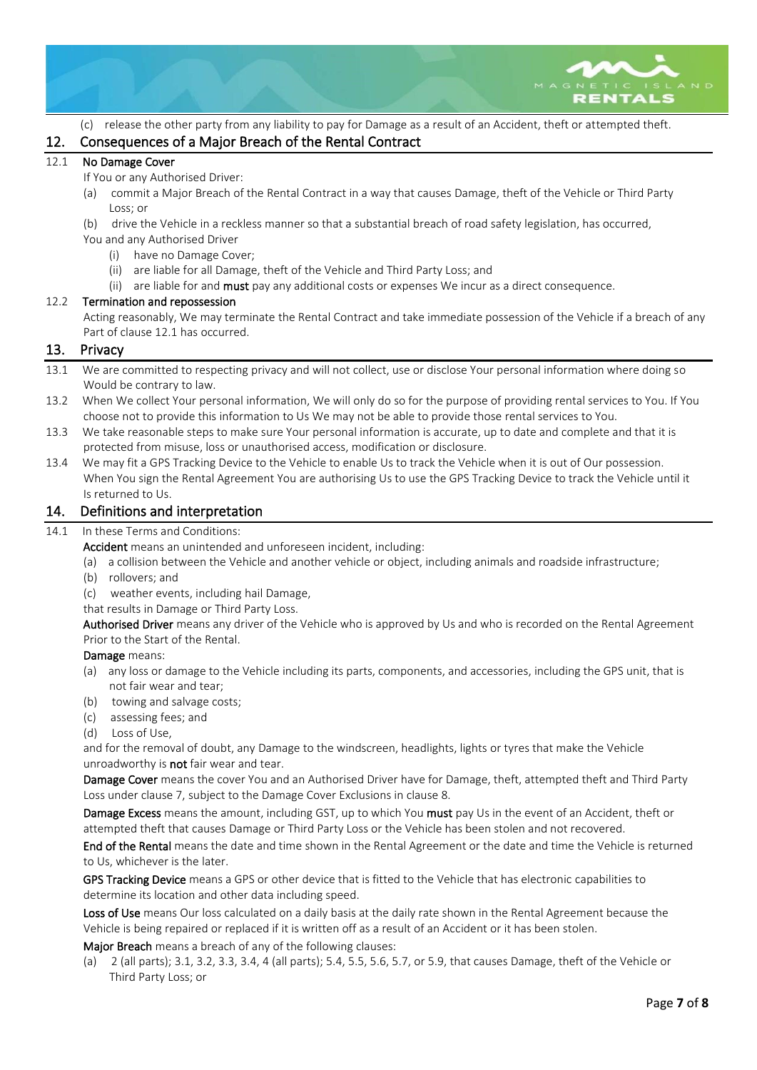

(c) release the other party from any liability to pay for Damage as a result of an Accident, theft or attempted theft.

# 12. Consequences of a Major Breach of the Rental Contract

## 12.1 No Damage Cover

If You or any Authorised Driver:

- (a) commit a Major Breach of the Rental Contract in a way that causes Damage, theft of the Vehicle or Third Party Loss; or
- (b) drive the Vehicle in a reckless manner so that a substantial breach of road safety legislation, has occurred,
- You and any Authorised Driver
	- (i) have no Damage Cover;
	- (ii) are liable for all Damage, theft of the Vehicle and Third Party Loss; and
	- (ii) are liable for and must pay any additional costs or expenses We incur as a direct consequence.

## 12.2 Termination and repossession

 Acting reasonably, We may terminate the Rental Contract and take immediate possession of the Vehicle if a breach of any Part of clause 12.1 has occurred.

## 13. Privacy

- 13.1 We are committed to respecting privacy and will not collect, use or disclose Your personal information where doing so Would be contrary to law.
- 13.2 When We collect Your personal information, We will only do so for the purpose of providing rental services to You. If You choose not to provide this information to Us We may not be able to provide those rental services to You.
- 13.3 We take reasonable steps to make sure Your personal information is accurate, up to date and complete and that it is protected from misuse, loss or unauthorised access, modification or disclosure.
- 13.4 We may fit a GPS Tracking Device to the Vehicle to enable Us to track the Vehicle when it is out of Our possession. When You sign the Rental Agreement You are authorising Us to use the GPS Tracking Device to track the Vehicle until it Is returned to Us.

# 14. Definitions and interpretation

## 14.1 In these Terms and Conditions:

Accident means an unintended and unforeseen incident, including:

- (a) a collision between the Vehicle and another vehicle or object, including animals and roadside infrastructure;
- (b) rollovers; and
- (c) weather events, including hail Damage,

that results in Damage or Third Party Loss.

Authorised Driver means any driver of the Vehicle who is approved by Us and who is recorded on the Rental Agreement Prior to the Start of the Rental.

#### Damage means:

- (a) any loss or damage to the Vehicle including its parts, components, and accessories, including the GPS unit, that is not fair wear and tear;
- (b) towing and salvage costs;
- (c) assessing fees; and
- (d) Loss of Use,

 and for the removal of doubt, any Damage to the windscreen, headlights, lights or tyres that make the Vehicle unroadworthy is not fair wear and tear.

Damage Cover means the cover You and an Authorised Driver have for Damage, theft, attempted theft and Third Party Loss under clause 7, subject to the Damage Cover Exclusions in clause 8.

Damage Excess means the amount, including GST, up to which You must pay Us in the event of an Accident, theft or attempted theft that causes Damage or Third Party Loss or the Vehicle has been stolen and not recovered.

 End of the Rental means the date and time shown in the Rental Agreement or the date and time the Vehicle is returned to Us, whichever is the later.

 GPS Tracking Device means a GPS or other device that is fitted to the Vehicle that has electronic capabilities to determine its location and other data including speed.

Loss of Use means Our loss calculated on a daily basis at the daily rate shown in the Rental Agreement because the Vehicle is being repaired or replaced if it is written off as a result of an Accident or it has been stolen.

Major Breach means a breach of any of the following clauses:

 (a) 2 (all parts); 3.1, 3.2, 3.3, 3.4, 4 (all parts); 5.4, 5.5, 5.6, 5.7, or 5.9, that causes Damage, theft of the Vehicle or Third Party Loss; or